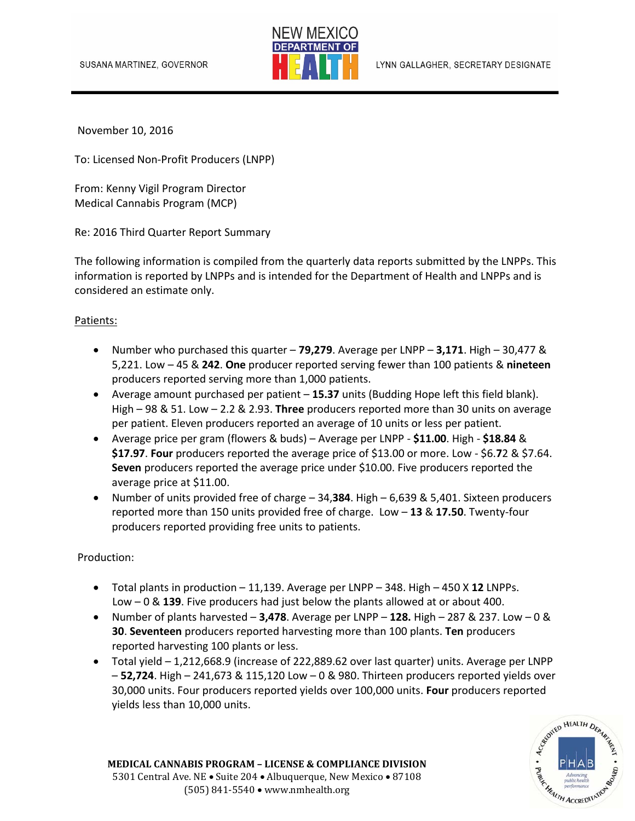

November 10, 2016

To: Licensed Non‐Profit Producers (LNPP)

From: Kenny Vigil Program Director Medical Cannabis Program (MCP)

Re: 2016 Third Quarter Report Summary

The following information is compiled from the quarterly data reports submitted by the LNPPs. This information is reported by LNPPs and is intended for the Department of Health and LNPPs and is considered an estimate only.

## Patients:

- Number who purchased this quarter **79,279**. Average per LNPP **3,171**. High 30,477 & 5,221. Low – 45 & **242**. **One** producer reported serving fewer than 100 patients & **nineteen** producers reported serving more than 1,000 patients.
- Average amount purchased per patient **15.37** units (Budding Hope left this field blank). High – 98 & 51. Low – 2.2 & 2.93. **Three** producers reported more than 30 units on average per patient. Eleven producers reported an average of 10 units or less per patient.
- Average price per gram (flowers & buds) Average per LNPP ‐ **\$11.00**. High ‐ **\$18.84** & **\$17.97**. **Four** producers reported the average price of \$13.00 or more. Low ‐ \$6.**7**2 & \$7.64. **Seven** producers reported the average price under \$10.00. Five producers reported the average price at \$11.00.
- Number of units provided free of charge 34,**384**. High 6,639 & 5,401. Sixteen producers reported more than 150 units provided free of charge. Low – **13** & **17.50**. Twenty‐four producers reported providing free units to patients.

Production:

- Total plants in production 11,139. Average per LNPP 348. High 450 X **12** LNPPs. Low – 0 & **139**. Five producers had just below the plants allowed at or about 400.
- Number of plants harvested **3,478**. Average per LNPP **128.** High 287 & 237. Low 0 & **30**. **Seventeen** producers reported harvesting more than 100 plants. **Ten** producers reported harvesting 100 plants or less.
- Total yield 1,212,668.9 (increase of 222,889.62 over last quarter) units. Average per LNPP – **52,724**. High – 241,673 & 115,120 Low – 0 & 980. Thirteen producers reported yields over 30,000 units. Four producers reported yields over 100,000 units. **Four** producers reported yields less than 10,000 units.